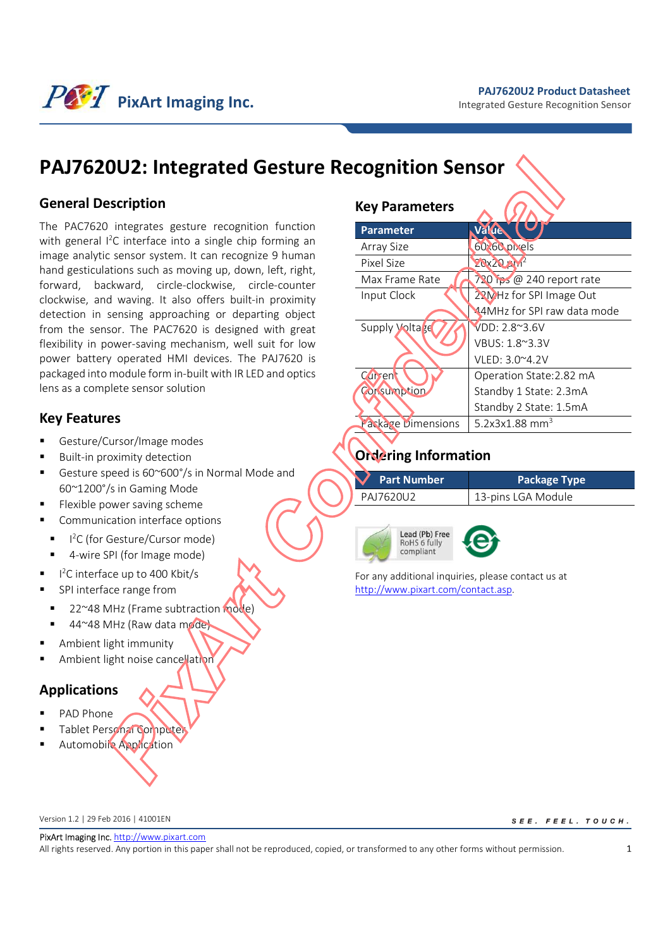### **PAJ7620U2 Product Datasheet**

Integrated Gesture Recognition Sensor



# **PAJ7620U2: Integrated Gesture Recognition Sensor**

## **General Description**

The PAC7620 integrates gesture recognition function with general I<sup>2</sup>C interface into a single chip forming an image analytic sensor system. It can recognize 9 human hand gesticulations such as moving up, down, left, right, forward, backward, circle-clockwise, circle-counter clockwise, and waving. It also offers built-in proximity detection in sensing approaching or departing object from the sensor. The PAC7620 is designed with great flexibility in power-saving mechanism, well suit for low power battery operated HMI devices. The PAJ7620 is packaged into module form in-built with IR LED and optics lens as a complete sensor solution

## **Key Features**

- Gesture/Cursor/Image modes
- Built-in proximity detection
- Gesture speed is 60~600°/s in Normal Mode and 60~1200°/s in Gaming Mode
- Flexible power saving scheme
- Communication interface options
- I<sup>2</sup>C (for Gesture/Cursor mode)
- 4-wire SPI (for Image mode)
- I<sup>2</sup>C interface up to 400 Kbit/s
- SPI interface range from
- 22~48 MHz (Frame subtraction mode)
- 44~48 MHz (Raw data mode)
- Ambient light immunity
- Ambient light noise cancellation

## **Applications**

- PAD Phone
- 
- Tablet Personal Computer
- Automobile Application

## **Key Parameters**

| <b>Parameter</b>          | Value                       |
|---------------------------|-----------------------------|
| Array Size                | 60:60 pixels                |
| Pixel Size                | $20x20$ $M^2$               |
| Max Frame Rate            | 720 ips @ 240 report rate   |
| Input Clock               | 22MHz for SPI Image Out     |
|                           | 44MHz for SPI raw data mode |
| <b>Supply Voltage</b>     | VDD: 2.8~3.6V               |
|                           | VBUS: 1.8~3.3V              |
|                           | VLED: 3.0~4.2V              |
| Curren                    | Operation State: 2.82 mA    |
| Corsumption               | Standby 1 State: 2.3mA      |
|                           | Standby 2 State: 1.5mA      |
| <b>Package Dimensions</b> | 5.2x3x1.88 mm <sup>3</sup>  |

## **Ordering Information**

| <b>Part Number</b> | <b>Package Type</b> |
|--------------------|---------------------|
| PA17620U2          | 13-pins LGA Module  |

Lead (Pb) Free RoHS 6 fully compliant



For any additional inquiries, please contact us at http://www.pixart.com/contact.asp.

Version 1.2 | 29 Feb 2016 | 41001EN

SEE. FEEL. TOUCH.

PixArt Imaging Inc. http://www.pixart.com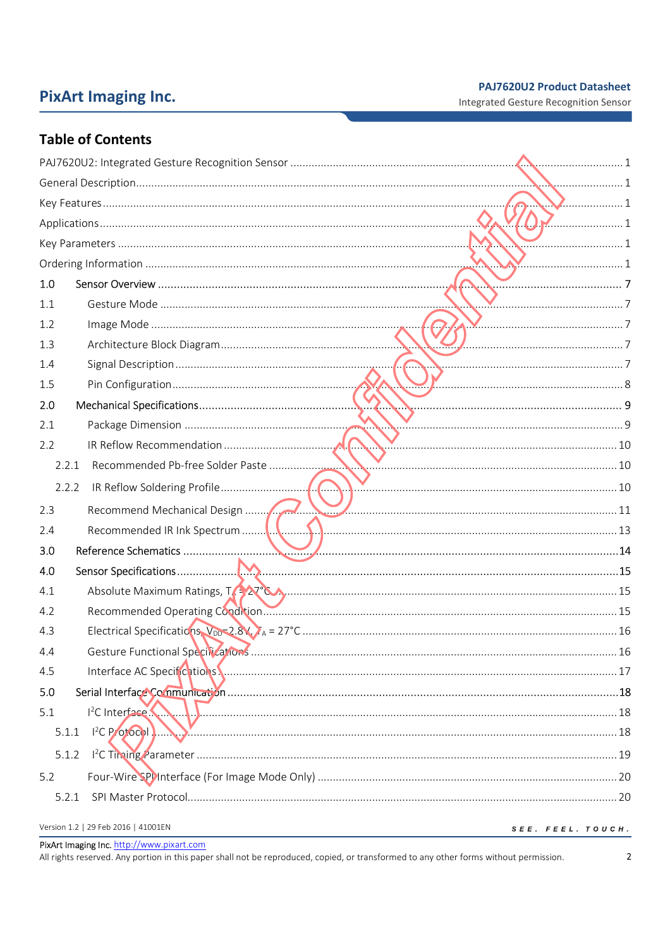# **PixArt Imaging Inc.**

## **PAJ7620U2 Product Datasheet**

Integrated Gesture Recognition Sensor

## **Table of Contents**

|                                     | 2. 1              |
|-------------------------------------|-------------------|
|                                     |                   |
|                                     | $\sim$ 1          |
|                                     |                   |
| 1.0                                 |                   |
| 1.1                                 |                   |
| 1.2                                 |                   |
| 1.3                                 |                   |
| 1.4                                 |                   |
| 1.5                                 |                   |
| 2.0                                 |                   |
| 2.1                                 |                   |
| 2.2                                 |                   |
| 2.2.1                               |                   |
| 2.2.2                               |                   |
| 2.3                                 |                   |
| 2.4                                 |                   |
| 3.0                                 |                   |
| 4.0                                 |                   |
| 4.1                                 |                   |
| 4.2                                 |                   |
| 4.3                                 |                   |
| 4.4                                 |                   |
| 4.5                                 |                   |
| 5.0                                 |                   |
| 5.1                                 |                   |
| 5.1.1<br>$1^{2}$ C P/otocol $1$     |                   |
| 5.1.2                               |                   |
| 5.2                                 |                   |
| 5.2.1                               |                   |
| Version 1.2   29 Feb 2016   41001EN | SEE. FEEL. TOUCH. |

PixArt Imaging Inc. http://www.pixart.com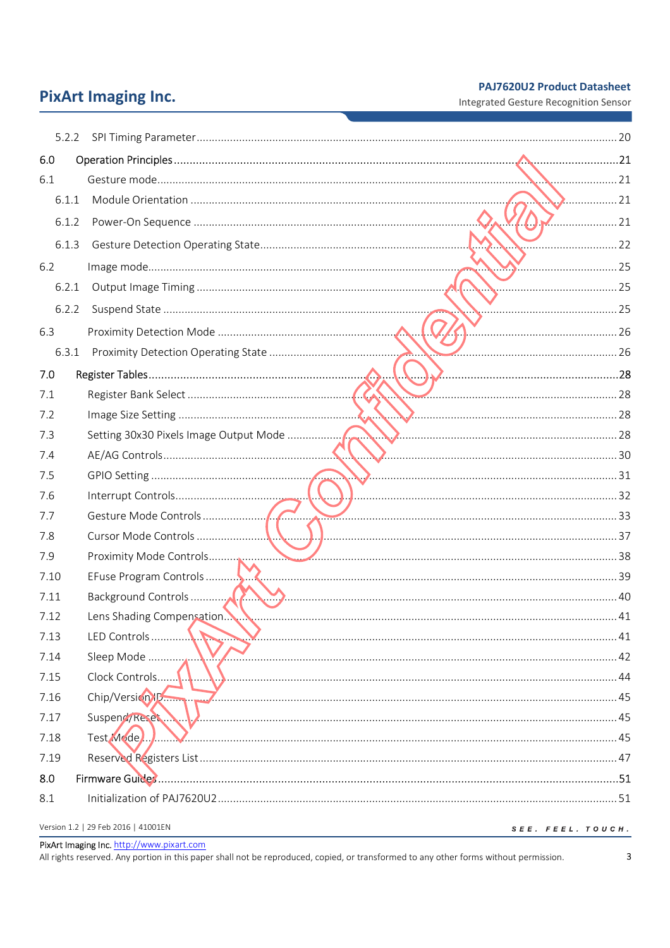## **PAJ7620U2 Product Datasheet**

Integrated Gesture Recognition Sensor

# **PixArt Imaging Inc.**

| 6.0   |                                     |                   |
|-------|-------------------------------------|-------------------|
| 6.1   |                                     |                   |
| 6.1.1 |                                     | $\ldots$ 21       |
| 6.1.2 |                                     | . 21              |
| 6.1.3 |                                     |                   |
| 6.2   | $\sim$                              |                   |
| 6.2.1 |                                     |                   |
| 6.2.2 |                                     | 25                |
| 6.3   |                                     |                   |
| 6.3.1 |                                     | 26                |
| 7.0   |                                     |                   |
| 7.1   |                                     |                   |
| 7.2   |                                     |                   |
| 7.3   |                                     |                   |
| 7.4   |                                     |                   |
| 7.5   |                                     |                   |
| 7.6   |                                     |                   |
| 7.7   | $\sum$ 33                           |                   |
| 7.8   |                                     |                   |
| 7.9   |                                     |                   |
| 7.10  |                                     |                   |
| 7.11  |                                     |                   |
| 7.12  |                                     |                   |
| 7.13  | LED Controls                        |                   |
| 7.14  | Sleep Mode                          |                   |
| 7.15  | Clock Controls                      |                   |
| 7.16  | Chip/Version10                      |                   |
| 7.17  | Suspend/Reset                       |                   |
| 7.18  | Test Mode.                          |                   |
| 7.19  |                                     |                   |
| 8.0   |                                     |                   |
| 8.1   |                                     |                   |
|       | Version 1.2   29 Feb 2016   41001EN | SEE. FEEL. TOUCH. |

PixArt Imaging Inc. http://www.pixart.com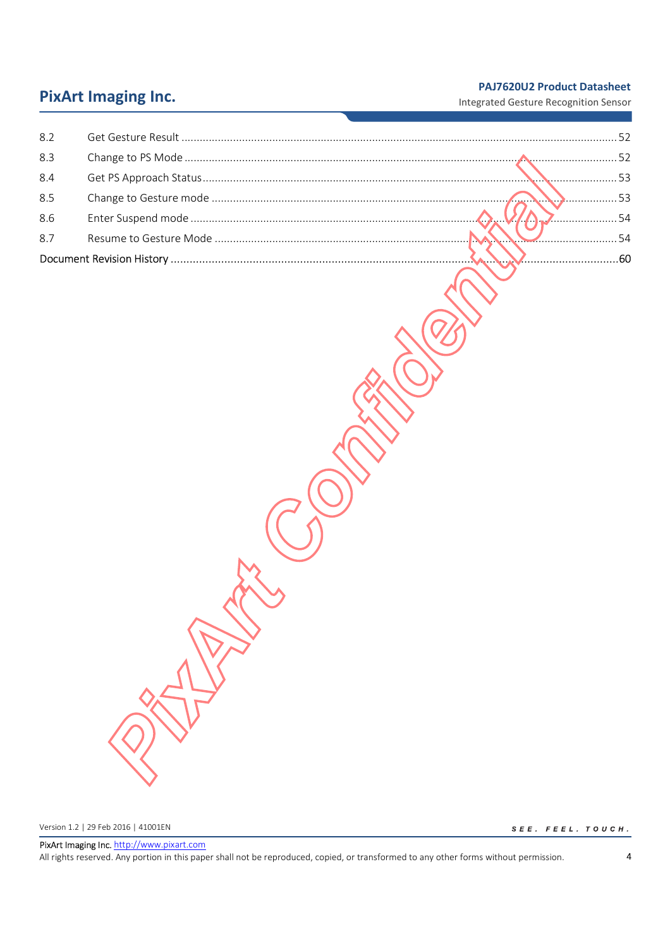## **PAJ7620U2 Product Datasheet**

# **PixArt Imaging Inc.**

Integrated Gesture Recognition Sensor

| 8.2 |                                                                                                                                                                                                                                      |  |
|-----|--------------------------------------------------------------------------------------------------------------------------------------------------------------------------------------------------------------------------------------|--|
| 8.3 |                                                                                                                                                                                                                                      |  |
| 8.4 |                                                                                                                                                                                                                                      |  |
| 8.5 |                                                                                                                                                                                                                                      |  |
| 8.6 |                                                                                                                                                                                                                                      |  |
| 8.7 | $\sim$ 54                                                                                                                                                                                                                            |  |
|     | <u>in the company of the company of the company of the company of the company of the company of the company of the company of the company of the company of the company of the company of the company of the company of the comp</u> |  |

Version 1.2 | 29 Feb 2016 | 41001EN

 $S \ E \ E \ . \quad F \ E \ E \ L \ . \quad T \ O \ U \ C \ H \ .$ 

PixArt Imaging Inc. http://www.pixart.com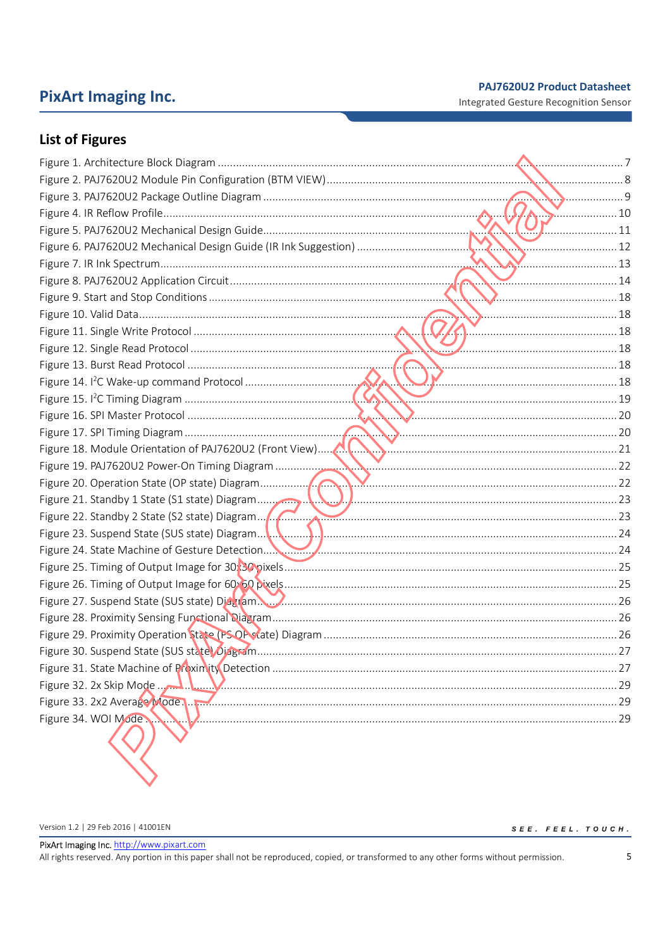## **PixArt Imaging Inc.**

**PAJ7620U2 Product Datasheet** 

Integrated Gesture Recognition Sensor

## **List of Figures**

|                                                                                               | $\Lambda$ . Simmunity |
|-----------------------------------------------------------------------------------------------|-----------------------|
|                                                                                               |                       |
|                                                                                               |                       |
|                                                                                               |                       |
|                                                                                               |                       |
|                                                                                               |                       |
|                                                                                               |                       |
|                                                                                               |                       |
|                                                                                               |                       |
|                                                                                               |                       |
|                                                                                               |                       |
|                                                                                               |                       |
|                                                                                               |                       |
|                                                                                               |                       |
| Figure 18. Module Orientation of PAJ7620U2 (Front View) Martin Martin Martin Martin Martin 21 |                       |
|                                                                                               |                       |
|                                                                                               |                       |
|                                                                                               |                       |
|                                                                                               |                       |
|                                                                                               |                       |
|                                                                                               |                       |
|                                                                                               |                       |
|                                                                                               |                       |
|                                                                                               |                       |
|                                                                                               |                       |
|                                                                                               |                       |
|                                                                                               |                       |
|                                                                                               |                       |
|                                                                                               |                       |
|                                                                                               |                       |
| Figure 34. WOI Mode.                                                                          | . 29                  |
|                                                                                               |                       |

Version 1.2 | 29 Feb 2016 | 41001EN

 $\begin{aligned} \mathcal{S}\ \mathnormal{E}\ \mathnormal{E}\ \mathnormal{.} \quad &\mathnormal{F}\ \mathnormal{E}\ \mathnormal{E}\ \mathnormal{L}\ \mathnormal{.} \quad &\mathnormal{T}\ \mathnormal{O}\ \mathnormal{U}\ \mathnormal{C}\ \mathnormal{H}\ \mathnormal{.} \end{aligned}$ 

PixArt Imaging Inc. http://www.pixart.com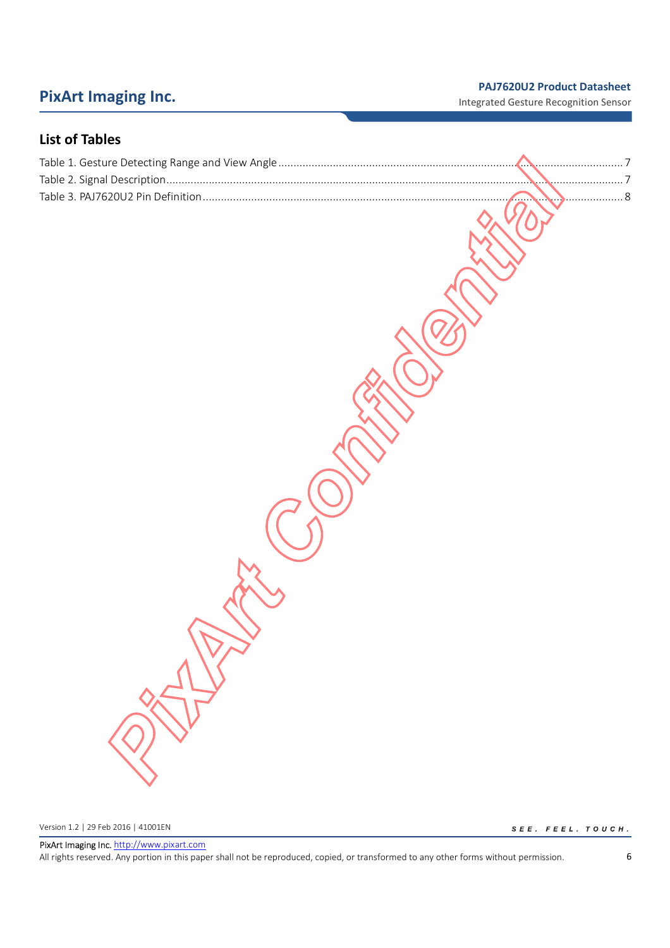# **PixArt Imaging Inc. PixArt Imaging Inc. PRITE Integrated Gesture Recognition Sensor**

## **List of Tables**

Version 1.2 | 29 Feb 2016 | 41001EN

 $S \ E \ E \ . \quad F \ E \ E \ L \ . \quad T \ O \ U \ C \ H \ .$ 

PixArt Imaging Inc. http://www.pixart.com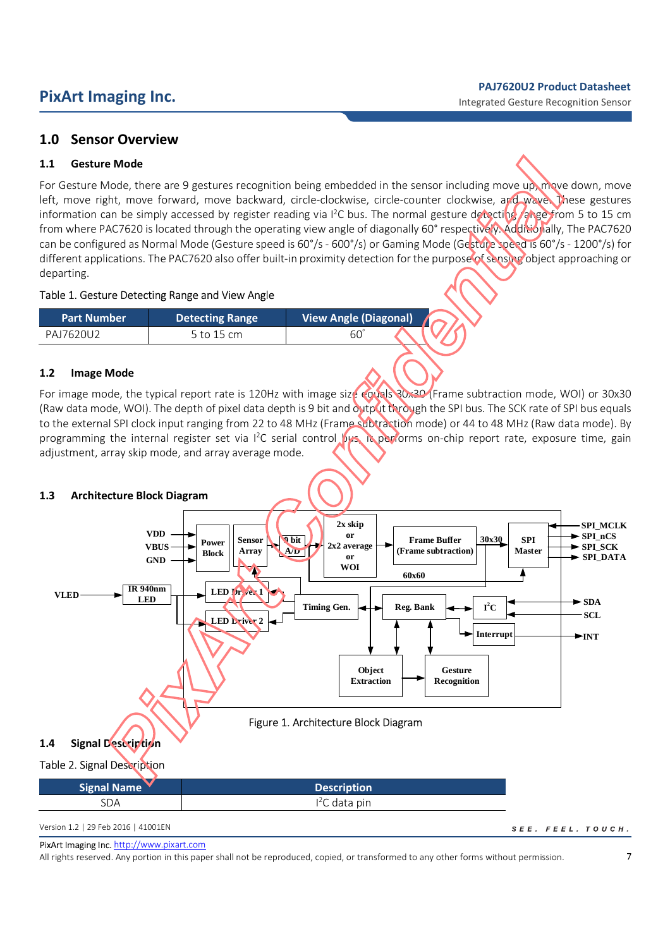## **1.0 Sensor Overview**

## **1.1 Gesture Mode**

For Gesture Mode, there are 9 gestures recognition being embedded in the sensor including move up, move down, move left, move right, move forward, move backward, circle-clockwise, circle-counter clockwise, and wave. These gestures information can be simply accessed by register reading via I<sup>2</sup>C bus. The normal gesture detecting range from 5 to 15 cm from where PAC7620 is located through the operating view angle of diagonally 60° respectively. Additionally, The PAC7620 can be configured as Normal Mode (Gesture speed is 60°/s - 600°/s) or Gaming Mode (Gesture speed is 60°/s - 1200°/s) for different applications. The PAC7620 also offer built-in proximity detection for the purpose of sensing object approaching or departing.

## Table 1. Gesture Detecting Range and View Angle

| <b>Part Number</b> | <b>Detecting Range</b> | <b>View Angle (Diagonal)</b> |  |
|--------------------|------------------------|------------------------------|--|
| PA17620U2          | to 15 cm ל             | 60                           |  |

## **1.2 Image Mode**

For image mode, the typical report rate is 120Hz with image size equals 30x30 (Frame subtraction mode, WOI) or 30x30 (Raw data mode, WOI). The depth of pixel data depth is 9 bit and output through the SPI bus. The SCK rate of SPI bus equals to the external SPI clock input ranging from 22 to 48 MHz (Frame subtraction mode) or 44 to 48 MHz (Raw data mode). By programming the internal register set via I<sup>2</sup>C serial control bus, it performs on-chip report rate, exposure time, gain adjustment, array skip mode, and array average mode.

## **1.3 Architecture Block Diagram**



## Table 2. Signal Description

| <b>Signal Name</b> | Description    |
|--------------------|----------------|
| SDA                | $I2C$ data pin |

Version 1.2 | 29 Feb 2016 | 41001EN

PixArt Imaging Inc. http://www.pixart.com

All rights reserved. Any portion in this paper shall not be reproduced, copied, or transformed to any other forms without permission.

SEE. FEEL. TOUCH.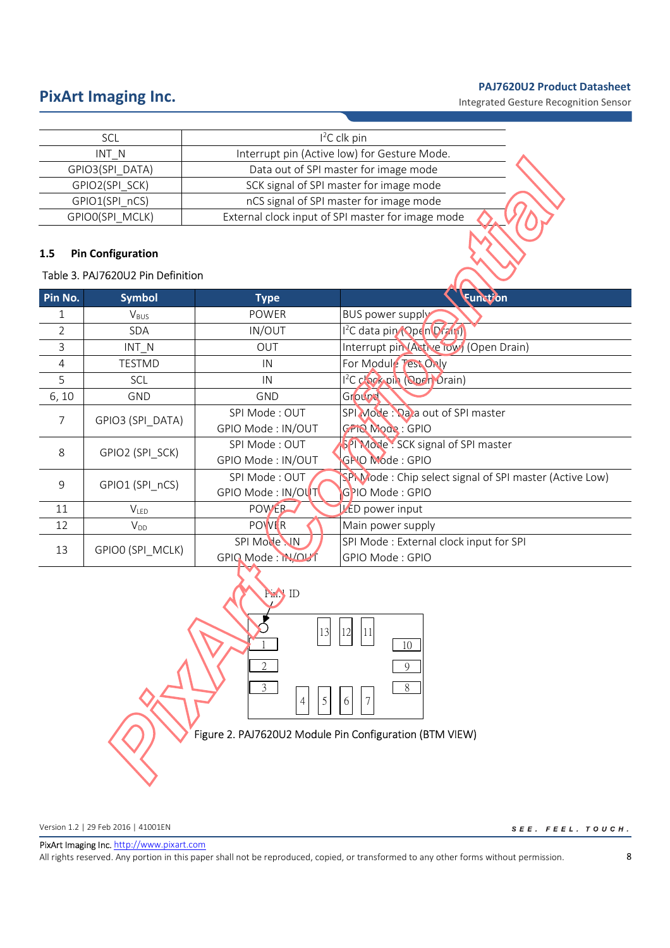# **PixArt Imaging Inc. PixArt Imaging Inc. PixArt Imaging Inc. PRITE INCESS**

| SCL             | $12C$ clk pin                                     |  |
|-----------------|---------------------------------------------------|--|
| INT N           | Interrupt pin (Active low) for Gesture Mode.      |  |
| GPIO3(SPI DATA) | Data out of SPI master for image mode             |  |
| GPIO2(SPI SCK)  | SCK signal of SPI master for image mode           |  |
| GPIO1(SPI nCS)  | nCS signal of SPI master for image mode           |  |
| GPIO0(SPI MCLK) | External clock input of SPI master for image mode |  |

## **1.5 Pin Configuration**

## Table 3. PAJ7620U2 Pin Definition

| Pin No.        | <b>Symbol</b>    | <b>Type</b>       | <b>Function</b>                                        |  |
|----------------|------------------|-------------------|--------------------------------------------------------|--|
| 1              | $V_{\text{BUS}}$ | <b>POWER</b>      | <b>BUS power supply</b>                                |  |
| 2              | <b>SDA</b>       | IN/OUT            | 1 <sup>2</sup> C data pin (Open Drain)                 |  |
| 3              | $INT_N$          | <b>OUT</b>        | Interrupt pin (Active low) (Open Drain)                |  |
| $\overline{4}$ | <b>TESTMD</b>    | IN                | For Module Test Only                                   |  |
| 5              | SCL              | IN                | 1 <sup>2</sup> C clock pin (Open Orain)                |  |
| 6, 10          | GND              | GND               | Ground                                                 |  |
| 7              | GPIO3 (SPI_DATA) | SPI Mode: OUT     | SPI Mode: Data out of SPI master                       |  |
|                |                  | GPIO Mode: IN/OUT | <b>GPIO Mode: GPIO</b>                                 |  |
| 8              | GPIO2 (SPI SCK)  | SPI Mode: OUT     | SPI Mode: SCK signal of SPI master                     |  |
|                |                  | GPIO Mode: IN/OUT | GPIO Mode: GPIO                                        |  |
| 9              | GPIO1 (SPI nCS)  | SPI Mode: OUT     | SPM ode: Chip select signal of SPI master (Active Low) |  |
|                |                  | GPIO Mode: IN/OUT | GPIO Mode: GPIO                                        |  |
| 11             | $V_{LED}$        | <b>POWER</b>      | LED power input                                        |  |
| 12             | $V_{DD}$         | <b>POWER</b>      | Main power supply                                      |  |
| 13             | GPIO0 (SPI MCLK) | SPI Mode NN       | SPI Mode: External clock input for SPI                 |  |
|                |                  | GPIO Mode: N/OUT  | GPIO Mode : GPIO                                       |  |



Version 1.2 | 29 Feb 2016 | 41001EN

 $\begin{aligned} \mathcal{S}\ \mathit{E}\ \mathit{E}\ \mathit{.} \quad \mathit{F}\ \mathit{E}\ \mathit{E}\ \mathit{L}\ \mathit{.} \quad \mathit{TO}\ \mathit{U}\ \mathit{C}\ \mathit{H}\ \mathit{.} \end{aligned}$ 

PixArt Imaging Inc. http://www.pixart.com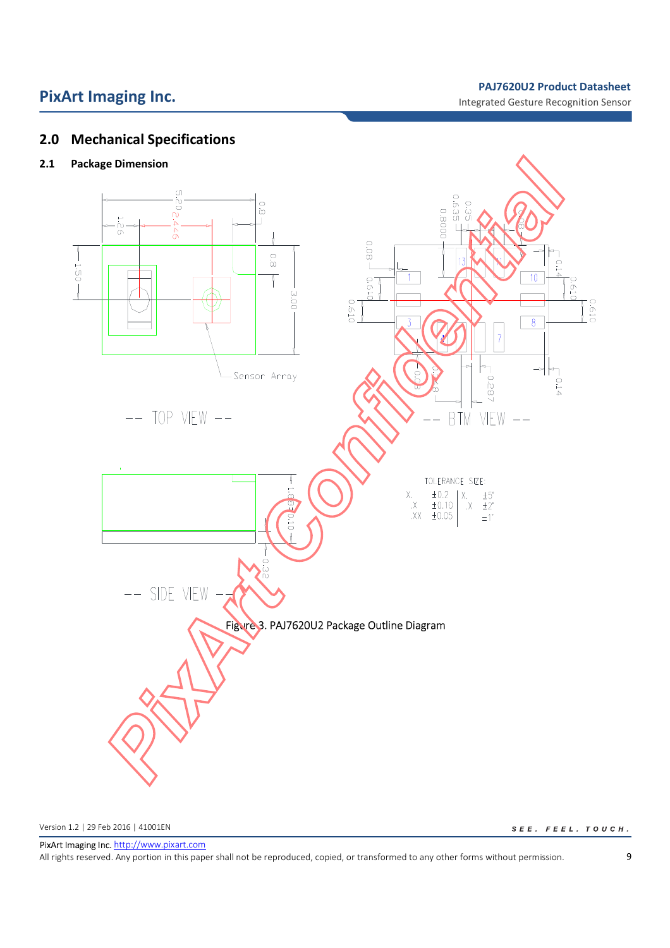# **PixArt Imaging Inc. PixArt Imaging Inc. PixArt Imaging Inc. PRITE INCESS**

Integrated Gesture Recognition Sensor

## **2.0 Mechanical Specifications**

## **2.1 Package Dimension**



Version 1.2 | 29 Feb 2016 | 41001EN

 $SEE. FEEL. TO UCH.$ 

PixArt Imaging Inc. http://www.pixart.com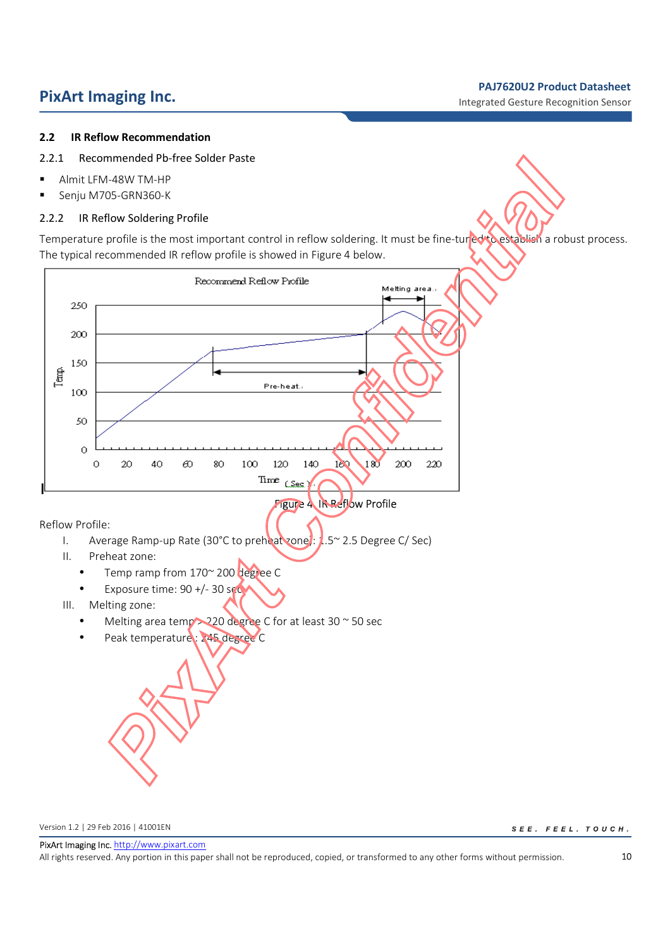# **PixArt Imaging Inc. Physical Contract Datasheet PixArt Imaging Inc. Product Datasheet**

## **2.2 IR Reflow Recommendation**

- 2.2.1 Recommended Pb-free Solder Paste
- **Almit LFM-48W TM-HP**
- Senju M705-GRN360-K

## 2.2.2 IR Reflow Soldering Profile

Temperature profile is the most important control in reflow soldering. It must be fine-tuned to establish a robust process. The typical recommended IR reflow profile is showed in Figure 4 below.



Version 1.2 | 29 Feb 2016 | 41001EN

SEE. FEEL. TOUCH.

PixArt Imaging Inc. http://www.pixart.com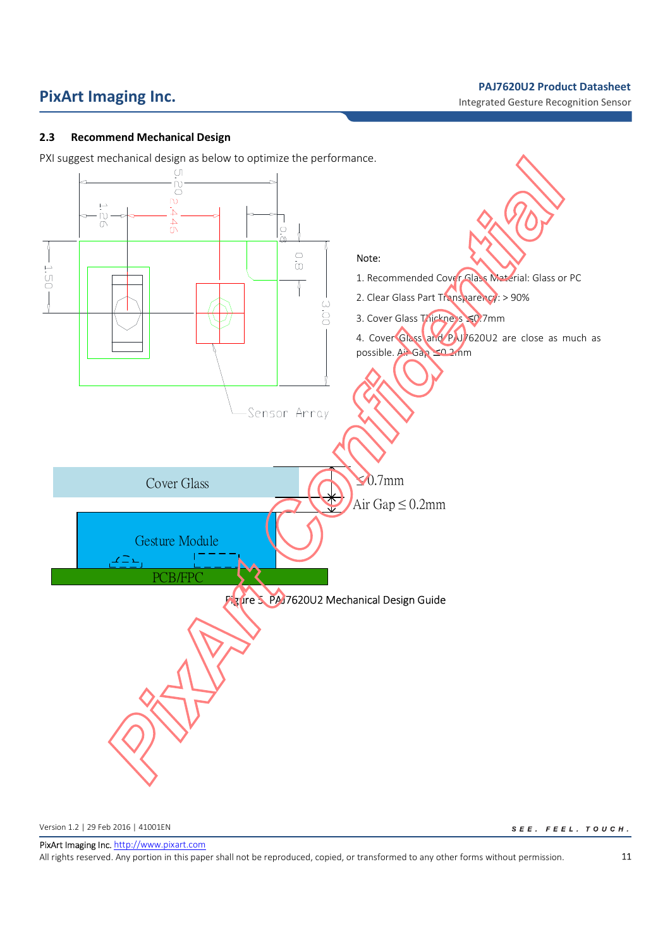Integrated Gesture Recognition Sensor

## **2.3 Recommend Mechanical Design**

PXI suggest mechanical design as below to optimize the performance.



Version 1.2 | 29 Feb 2016 | 41001EN

 $SEE. FEEL. TO UCH.$ 

PixArt Imaging Inc. http://www.pixart.com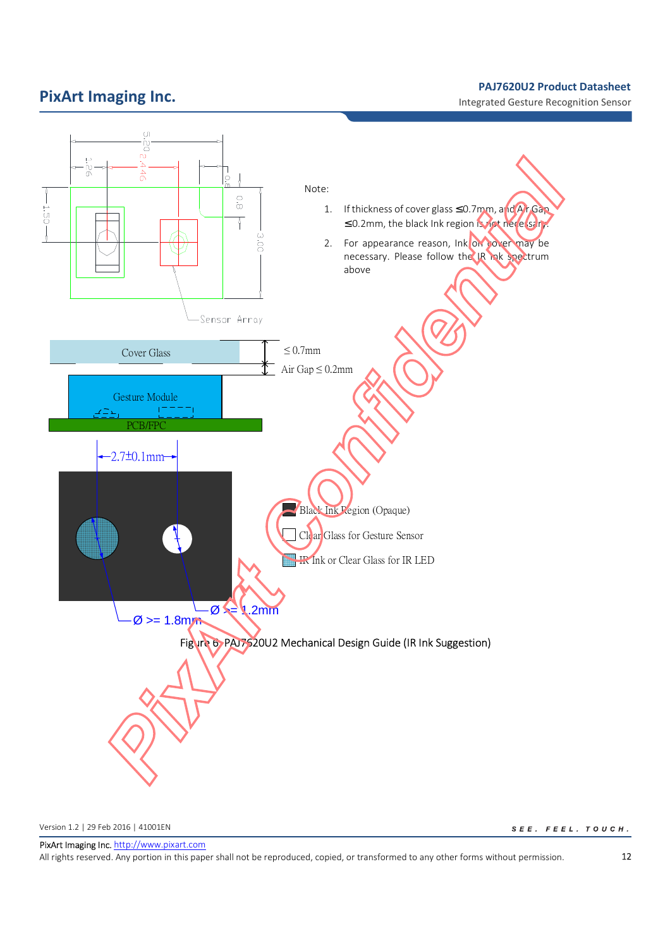# **PixArt Imaging Inc. Product Datasheet PRITE INC. PRITE INC. PRITE INC. PRITE INC. PRITE INC. PRITE INC. PRITE INC. PRITE INC. PRITE INC. PRITE INC. PRITE INC. PRITE INC. PRITE INC. PRITE INC.**

Integrated Gesture Recognition Sensor



Version 1.2 | 29 Feb 2016 | 41001EN

 $SEE. FEEL. TO UCH.$ 

PixArt Imaging Inc. http://www.pixart.com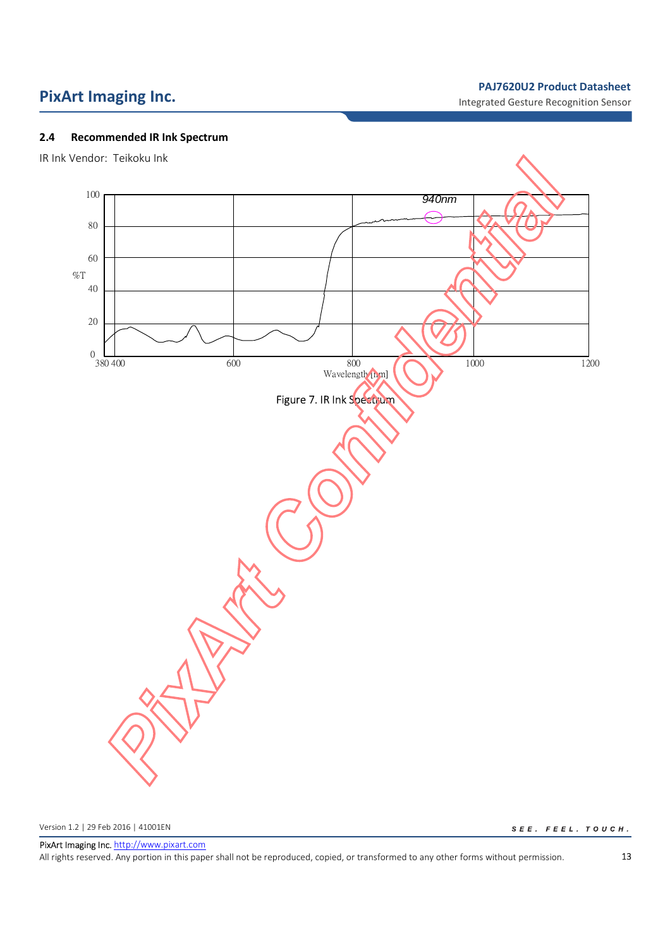Integrated Gesture Recognition Sensor

## **2.4 Recommended IR Ink Spectrum**





Version 1.2 | 29 Feb 2016 | 41001EN

 $\begin{aligned} \mathcal{S}\ \mathnormal{E}\ \mathnormal{E}\ \mathnormal{.} \quad &\mathnormal{F}\ \mathnormal{E}\ \mathnormal{E}\ \mathnormal{L}\ \mathnormal{.} \quad &\mathnormal{T}\ \mathnormal{O}\ \mathnormal{U}\ \mathnormal{C}\ \mathnormal{H}\ \mathnormal{.} \end{aligned}$ 

PixArt Imaging Inc. http://www.pixart.com All rights reserved. Any portion in this paper shall not be reproduced, copied, or transformed to any other forms without permission.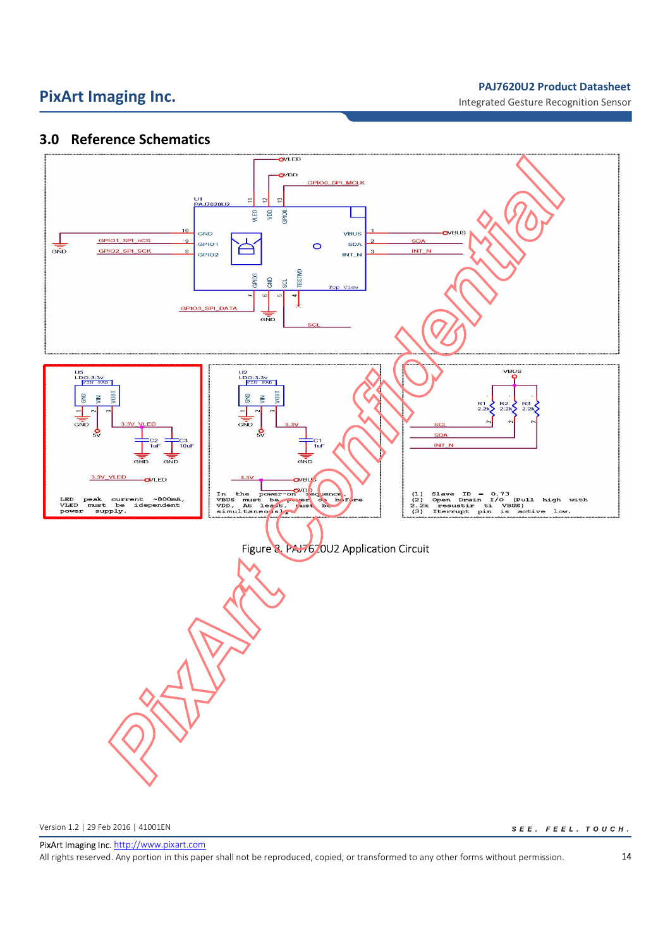Integrated Gesture Recognition Sensor

## **3.0 Reference Schematics**



Version 1.2 | 29 Feb 2016 | 41001EN

 $SEE. FEEL. TO UCH.$ 

PixArt Imaging Inc. http://www.pixart.com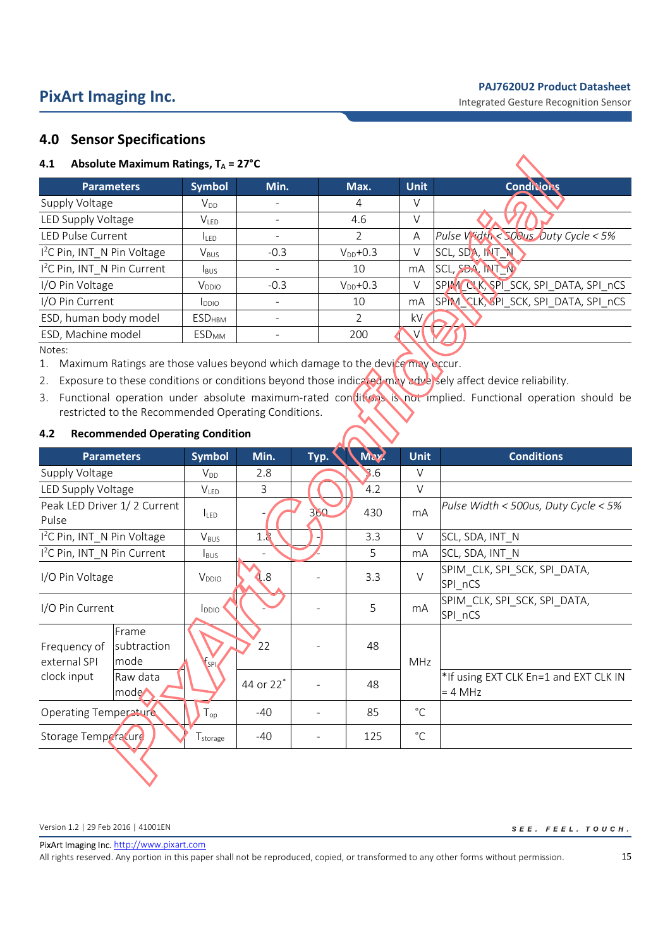# **PixArt Imaging Inc. Product Datasheet PRITE INC. PRITE INC. PRITE INC. PRITE INC. PRITE INC. PRITE INC. PRITE INC. PRITE INC. PRITE INC. PRITE INC. PRITE INC. PRITE INC. PRITE INC. PRITE INC.**

## **4.0 Sensor Specifications**

| Absolute Maximum Ratings, $T_A = 27^{\circ}C$<br>4.1 |                           |        |               |                |                                      |
|------------------------------------------------------|---------------------------|--------|---------------|----------------|--------------------------------------|
| <b>Parameters</b>                                    | <b>Symbol</b>             | Min.   | Max.          | <b>Unit</b>    | <b>Conditions</b>                    |
| Supply Voltage                                       | $V_{DD}$                  |        | 4             | V              |                                      |
| LED Supply Voltage                                   | V <sub>LED</sub>          |        | 4.6           | V              |                                      |
| <b>LED Pulse Current</b>                             | I <sub>LED</sub>          |        | 2             | A              | Pulse Vidth < 500us Duty Cycle < 5%  |
| 1 <sup>2</sup> C Pin, INT N Pin Voltage              | $V_{BUS}$                 | $-0.3$ | $V_{DD}$ +0.3 | V              | SCL, SDA, INT                        |
| I <sup>2</sup> C Pin, INT_N Pin Current              | <b>I</b> BUS              |        | 10            | mA             | SCL, SOA, INT TV                     |
| I/O Pin Voltage                                      | V <sub>DDIO</sub>         | $-0.3$ | $V_{DD}$ +0.3 | V              | SPINICK, SPI_SCK, SPI_DATA, SPI_nCS  |
| I/O Pin Current                                      | <b>L</b> <sub>DDIO</sub>  |        | 10            | m <sub>A</sub> | SPIM CLK, SPI_SCK, SPI_DATA, SPI_nCS |
| ESD, human body model                                | <b>ESD</b> <sub>HBM</sub> |        | 2             | kV.            |                                      |
| ESD, Machine model                                   | <b>ESD<sub>MM</sub></b>   |        | 200           |                |                                      |

Notes:

1. Maximum Ratings are those values beyond which damage to the device may occur.

2. Exposure to these conditions or conditions beyond those indicated may adversely affect device reliability.

3. Functional operation under absolute maximum-rated conditions is not implied. Functional operation should be restricted to the Recommended Operating Conditions.

## **4.2 Recommended Operating Condition**

| <b>Parameters</b>                                            | <b>Symbol</b>    | Min.                     | Typ. | May.             | <b>Unit</b>  | <b>Conditions</b>                                  |
|--------------------------------------------------------------|------------------|--------------------------|------|------------------|--------------|----------------------------------------------------|
| Supply Voltage                                               | $V_{DD}$         | 2.8                      |      | $\overline{3.6}$ | V            |                                                    |
| LED Supply Voltage                                           | <b>VLED</b>      | 3                        |      | 4.2              | $\vee$       |                                                    |
| Peak LED Driver 1/2 Current<br>Pulse                         | <b>ILED</b>      |                          | 360  | 430              | mA           | Pulse Width < 500us, Duty Cycle < 5%               |
| 1 <sup>2</sup> C Pin, INT N Pin Voltage                      | $V_{BUS}$        | 1.8                      |      | 3.3              | V            | SCL, SDA, INT N                                    |
| I <sup>2</sup> C Pin, INT_N Pin Current                      | $I_{\text{BUS}}$ | $\overline{\phantom{0}}$ |      | 5                | mA           | SCL, SDA, INT_N                                    |
| I/O Pin Voltage                                              | $V_{DDIO}$       | $\overline{1.8}$         |      | 3.3              | $\vee$       | SPIM_CLK, SPI_SCK, SPI_DATA,<br>SPI_nCS            |
| I/O Pin Current                                              | $I_{DDIO}$       |                          |      | 5                | mA           | SPIM_CLK, SPI_SCK, SPI_DATA,<br>SPI_nCS            |
| Frame<br>subtraction<br>Frequency of<br>external SPI<br>mode | $V_{SPD}$        | 22                       |      | 48               | MHz          |                                                    |
| clock input<br>Raw data<br>mode <sup>1</sup>                 |                  | 44 or 22 <sup>*</sup>    |      | 48               |              | *If using EXT CLK En=1 and EXT CLK IN<br>$= 4 MHz$ |
| <b>Operating Temperature</b>                                 | $T_{op}$         | $-40$                    |      | 85               | $^{\circ}$ C |                                                    |
| Storage Temperature                                          | I storage        | $-40$                    | ۰    | 125              | $^{\circ}$ C |                                                    |
|                                                              |                  |                          |      |                  |              |                                                    |

Version 1.2 | 29 Feb 2016 | 41001EN

 $\begin{aligned} \mathsf{S} \ \mathsf{E} \ \mathsf{E} \ \textcolor{black}{.} \quad \mathsf{F} \ \mathsf{E} \ \mathsf{E} \ \textcolor{black}{L} \ \textcolor{black}{.} \quad \mathsf{T} \ \mathsf{O} \ \mathsf{U} \ \mathsf{C} \ \mathsf{H} \ \textcolor{black}{.} \end{aligned}$ 

PixArt Imaging Inc. http://www.pixart.com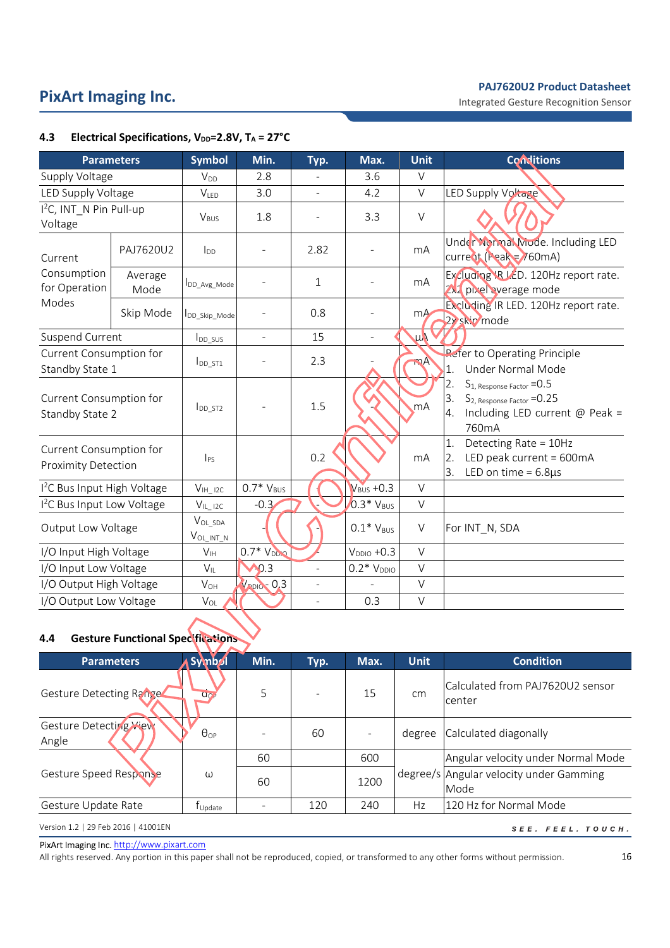Integrated Gesture Recognition Sensor

|                                                       | <b>Parameters</b> | <b>Symbol</b>                     | Min.                     | Typ.           | Max.                   | <b>Unit</b>    | <b>Conditions</b>                                                                                                                                |
|-------------------------------------------------------|-------------------|-----------------------------------|--------------------------|----------------|------------------------|----------------|--------------------------------------------------------------------------------------------------------------------------------------------------|
| Supply Voltage                                        |                   | <b>V</b> <sub>DD</sub>            | 2.8                      |                | 3.6                    | $\vee$         |                                                                                                                                                  |
| LED Supply Voltage                                    |                   | V <sub>LED</sub>                  | 3.0                      | $\overline{a}$ | 4.2                    | $\vee$         | <b>LED Supply Voltage</b>                                                                                                                        |
| I <sup>2</sup> C, INT N Pin Pull-up<br>Voltage        |                   | V <sub>BUS</sub>                  | 1.8                      |                | 3.3                    | $\vee$         |                                                                                                                                                  |
| Current                                               | PAJ7620U2         | $I_{DD}$                          |                          | 2.82           |                        | mA             | Under Normal Mode. Including LED<br>$curve$ <sub>0</sub> t (Peak = $760$ mA)                                                                     |
| Consumption<br>for Operation                          | Average<br>Mode   | <b>IDD</b> Avg Mode               |                          | $\mathbf{1}$   |                        | m <sub>A</sub> | Excluding \R LED. 120Hz report rate.<br>2X2 pixel average mode                                                                                   |
| Modes                                                 | Skip Mode         | DD_Skip_Mode                      |                          | 0.8            |                        | mA             | Excluding IR LED. 120Hz report rate.<br>2x skip mode                                                                                             |
| Suspend Current                                       |                   | $I_{DD\_SUS}$                     | $\overline{\phantom{a}}$ | 15             |                        | $\mu\lambda$   |                                                                                                                                                  |
| Current Consumption for<br>Standby State 1            |                   | $I_{DD\_ST1}$                     |                          | 2.3            |                        | TA             | Refer to Operating Principle<br>Under Normal Mode<br>$\mathbf{1}$                                                                                |
| Current Consumption for<br>Standby State 2            |                   | $I_{DD_ST2}$                      |                          | 1.5            |                        | mA             | 2.<br>S <sub>1</sub> , Response Factor = 0.5<br>3.<br>S <sub>2</sub> , Response Factor = 0.25<br>Including LED current $@$ Peak =<br>4.<br>760mA |
| Current Consumption for<br><b>Proximity Detection</b> |                   | $ _{PS}$                          |                          | 0.2            |                        | mA             | Detecting Rate = 10Hz<br>1.<br>LED peak current = 600mA<br>2.<br>3.<br>LED on time = $6.8\mu s$                                                  |
| <sup>12</sup> C Bus Input High Voltage                |                   | $V_{\text{IH}}$ 12C               | $0.7*V_{BUS}$            |                | $V_{\text{BUS}} + 0.3$ | $\vee$         |                                                                                                                                                  |
| <sup>2</sup> C Bus Input Low Voltage                  |                   | $V_{IL\_IZC}$                     | $-0.3$                   |                | $0.3*V_{BUS}$          | $\vee$         |                                                                                                                                                  |
| Output Low Voltage                                    |                   | $V_{OL\_SDA}$<br>$V_{OL\_INT\_N}$ |                          |                | $0.1*V_{BUS}$          | $\vee$         | For INT_N, SDA                                                                                                                                   |
| I/O Input High Voltage                                |                   | V <sub>IH</sub>                   | $0.7*VDDLO$              |                | $VDDIO +0.3$           | $\vee$         |                                                                                                                                                  |
| I/O Input Low Voltage                                 |                   | $V_{IL}$                          | 0.3                      |                | $0.2*V_{DDIO}$         | V              |                                                                                                                                                  |
| I/O Output High Voltage                               |                   | $V_{OH}$                          | $V_{ADIO} = 0.3$         |                |                        | $\vee$         |                                                                                                                                                  |
| I/O Output Low Voltage                                |                   | $V_{OL}$                          |                          | L,             | 0.3                    | $\vee$         |                                                                                                                                                  |

## **4.3 Electrical Specifications, V<sub>DD</sub>=2.8V, T<sub>A</sub> = 27°C**

## **4.4 Gesture Functional Specifications**

| <b>Parameters</b>                   | Symbol                         | Min. | Typ. | Max. | <b>Unit</b> | <b>Condition</b>                                |
|-------------------------------------|--------------------------------|------|------|------|-------------|-------------------------------------------------|
| Gesture Detecting Range             | $a_{C_f}$                      | 5    |      | 15   | cm          | Calculated from PAJ7620U2 sensor<br>center      |
| Gesture Detecting Wiew<br>Angle     | $\theta_{OP}$                  |      | 60   |      | degree      | Calculated diagonally                           |
|                                     |                                | 60   |      | 600  |             | Angular velocity under Normal Mode              |
| Gesture Speed Response              | ω                              | 60   |      | 1200 |             | degree/s Angular velocity under Gamming<br>Mode |
| Gesture Update Rate                 | $\mathsf{T}_{\mathsf{Update}}$ |      | 120  | 240  | Hz          | 120 Hz for Normal Mode                          |
| Version 1.2   29 Feb 2016   41001EN |                                |      |      |      |             | SEE. FEEL. TOUCH.                               |

PixArt Imaging Inc. http://www.pixart.com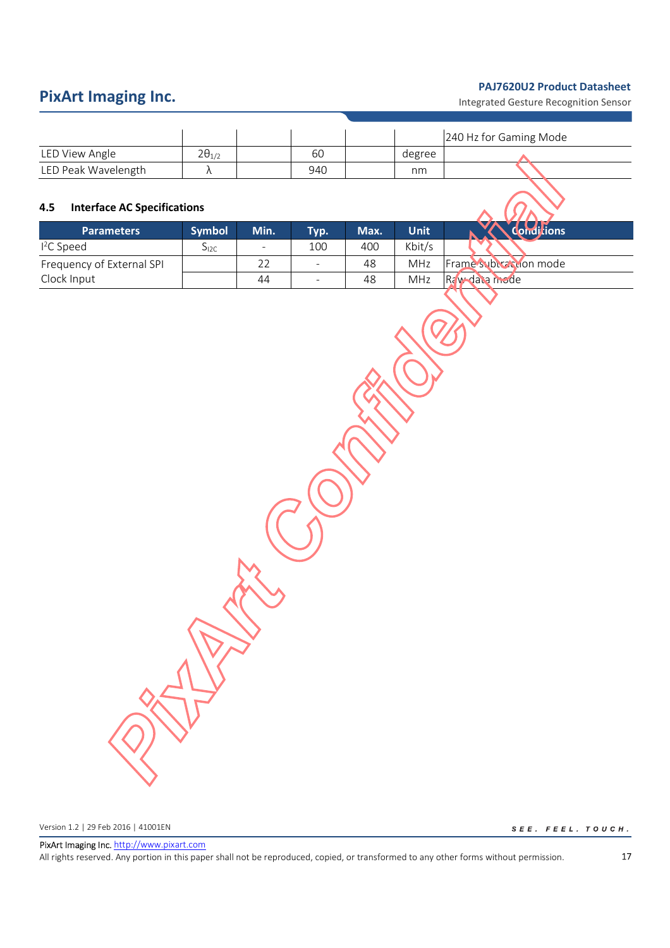Integrated Gesture Recognition Sensor

|                     |                 |     |        | 240 Hz for Gaming Mode |  |
|---------------------|-----------------|-----|--------|------------------------|--|
| LED View Angle      | $2\theta_{1/2}$ | 60  | degree |                        |  |
| LED Peak Wavelength |                 | 940 | nm     |                        |  |

## **4.5 Interface AC Specifications**

| <b>Parameters</b>         | <b>Symbol</b> | Min.                     | Typ.                     | Max. | Unit'      | ditions               |
|---------------------------|---------------|--------------------------|--------------------------|------|------------|-----------------------|
| $12C$ Speed               | J12C          | $\overline{\phantom{a}}$ | 100                      | 400  | Kbit/s     |                       |
| Frequency of External SPI |               | 22                       | -                        | 48   | <b>MHz</b> | Frame subvaction mode |
| Clock Input               |               | 44                       | $\overline{\phantom{a}}$ | 48   | <b>MHz</b> | Rawdaca niode         |

Version 1.2 | 29 Feb 2016 | 41001EN

 $\begin{aligned} \mathcal{S}\ \mathit{E}\ \mathit{E}\ \mathit{.}\quad &\mathit{F}\ \mathit{E}\ \mathit{E}\ \mathit{L}\ \mathit{.}\quad &\mathit{TO}\ \mathit{U}\ \mathit{C}\ \mathit{H}\ \mathit{.} \end{aligned}$ 

PixArt Imaging Inc. http://www.pixart.com All rights reserved. Any portion in this paper shall not be reproduced, copied, or transformed to any other forms without permission.

17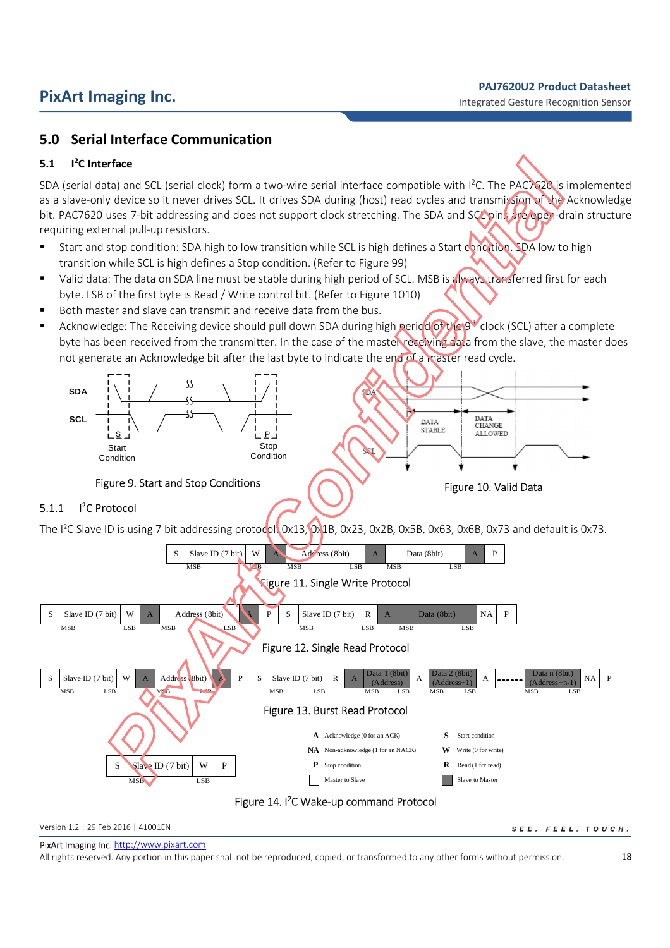## **5.0 Serial Interface Communication**

### **5.1 I <sup>2</sup>C Interface**

SDA (serial data) and SCL (serial clock) form a two-wire serial interface compatible with  $1^2C$ . The PAC7620 is implemented as a slave-only device so it never drives SCL. It drives SDA during (host) read cycles and transmission of the Acknowledge bit. PAC7620 uses 7-bit addressing and does not support clock stretching. The SDA and SCL pins are open-drain structure requiring external pull-up resistors.

- **Start and stop condition: SDA high to low transition while SCL is high defines a Start condition. SDA low to high** transition while SCL is high defines a Stop condition. (Refer to Figure 99)
- Valid data: The data on SDA line must be stable during high period of SCL. MSB is always transferred first for each byte. LSB of the first byte is Read / Write control bit. (Refer to Figure 1010)
- Both master and slave can transmit and receive data from the bus.
- Acknowledge: The Receiving device should pull down SDA during high period of the 9<sup>th</sup> clock (SCL) after a complete byte has been received from the transmitter. In the case of the master receiving data from the slave, the master does not generate an Acknowledge bit after the last byte to indicate the end of a master read cycle.





### $5.1.1$ <sup>2</sup>C Protocol

The I<sup>2</sup>C Slave ID is using 7 bit addressing protocol. 0x13, 0x1B, 0x23, 0x2B, 0x5B, 0x63, 0x6B, 0x73 and default is 0x73.



Version 1.2 | 29 Feb 2016 | 41001EN

SEE. FEEL. TOUCH.

PixArt Imaging Inc. http://www.pixart.com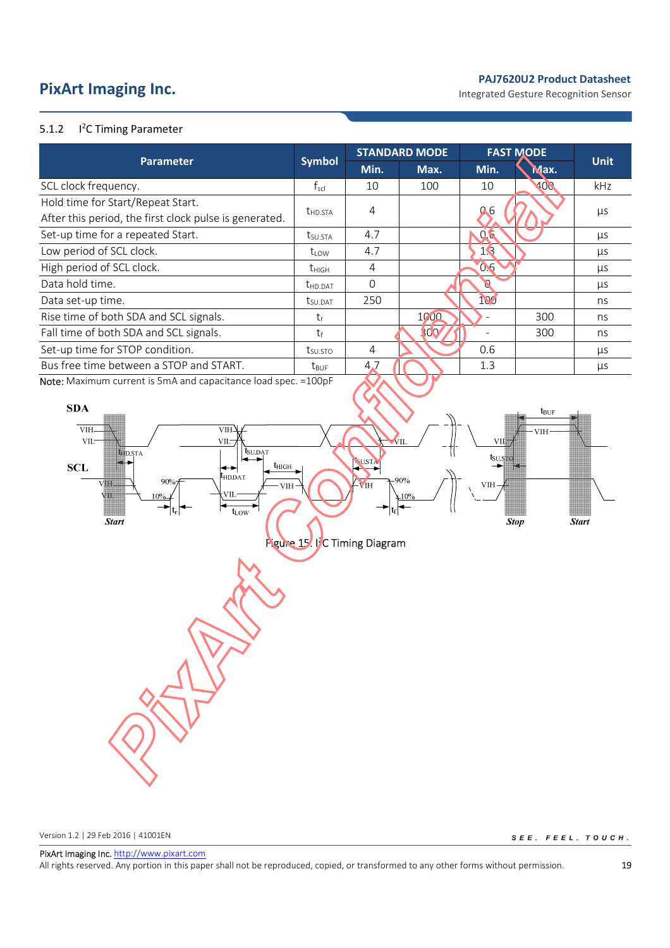# **PixArt Imaging Inc. PixArt Imaging Inc. PixArt Imaging Inc. PixArt Imaging Inc. PixArt PixArt Imaging Inc. PixArt PixArt Integrated Gesture Recognition Sensor**

### $5.1.2$ <sup>2</sup>C Timing Parameter

|                                                                 |                      |          | <b>STANDARD MODE</b> | <b>FAST MODE</b> |      |             |
|-----------------------------------------------------------------|----------------------|----------|----------------------|------------------|------|-------------|
| <b>Parameter</b>                                                | <b>Symbol</b>        | Min.     | Max.                 | Min.             | Max. | <b>Unit</b> |
| SCL clock frequency.                                            | $f_{\rm scl}$        | 10       | 100                  | 10               | 100  | kHz         |
| Hold time for Start/Repeat Start.                               |                      |          |                      |                  |      |             |
| After this period, the first clock pulse is generated.          | $t_{HD,STA}$         | 4        |                      | 0.6              |      | μs          |
| Set-up time for a repeated Start.                               | t <sub>su.Sta</sub>  | 4.7      |                      | 0.6              |      | μs          |
| Low period of SCL clock.                                        | $t_{\text{low}}$     | 4.7      |                      | 13               |      | μs          |
| High period of SCL clock.                                       | $t_{\rm HIGH}$       | 4        |                      | 0.6              |      | μs          |
| Data hold time.                                                 | t <sub>HD.DAT</sub>  | $\Omega$ |                      |                  |      | μs          |
| Data set-up time.                                               | L <sub>SU</sub> .DAT | 250      |                      | 100              |      | ns          |
| Rise time of both SDA and SCL signals.                          | $t_{r}$              |          | 1000                 |                  | 300  | ns          |
| Fall time of both SDA and SCL signals.                          | tŧ                   |          | 300                  |                  | 300  | ns          |
| Set-up time for STOP condition.                                 | t <sub>SUSTO</sub>   | 4        |                      | 0.6              |      | μs          |
| Bus free time between a STOP and START.                         | $t_{\text{RUF}}$     | 4.7      |                      | 1.3              |      | μs          |
| Nota: Maximum current is $EmA$ and canacitance load spec -100pE |                      |          |                      |                  |      |             |

**Note:** Maximum current is 5mA and capacitance load spec. =100pF



Version 1.2 | 29 Feb 2016 | 41001EN

SEE. FEEL. TOUCH.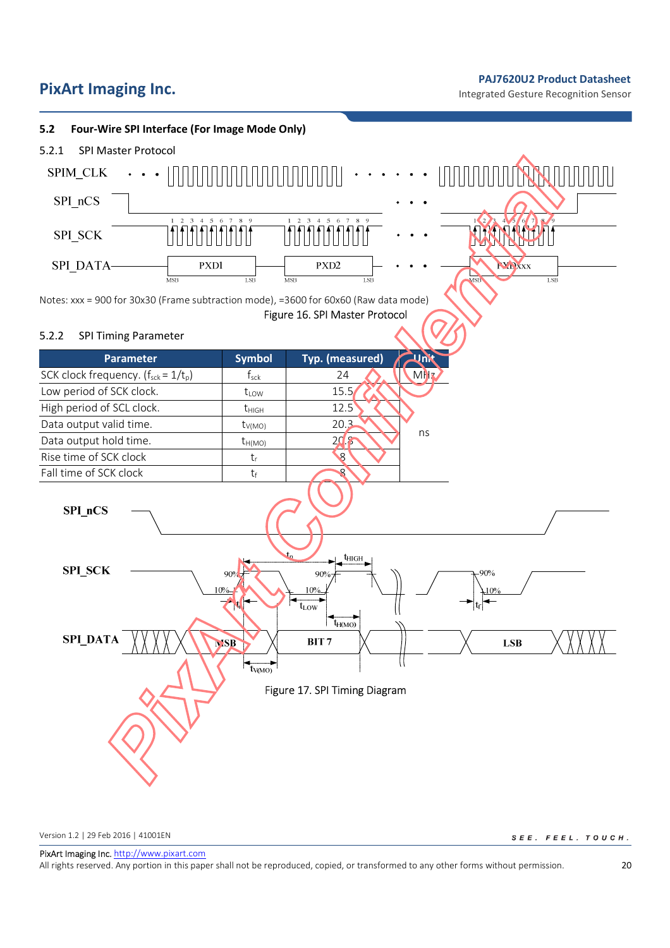# **PixArt Imaging Inc. PixArt Imaging Inc. PRITE Integrated Gesture Recognition Sensor**



Version 1.2 | 29 Feb 2016 | 41001EN

SEE. FEEL. TOUCH.

PixArt Imaging Inc. http://www.pixart.com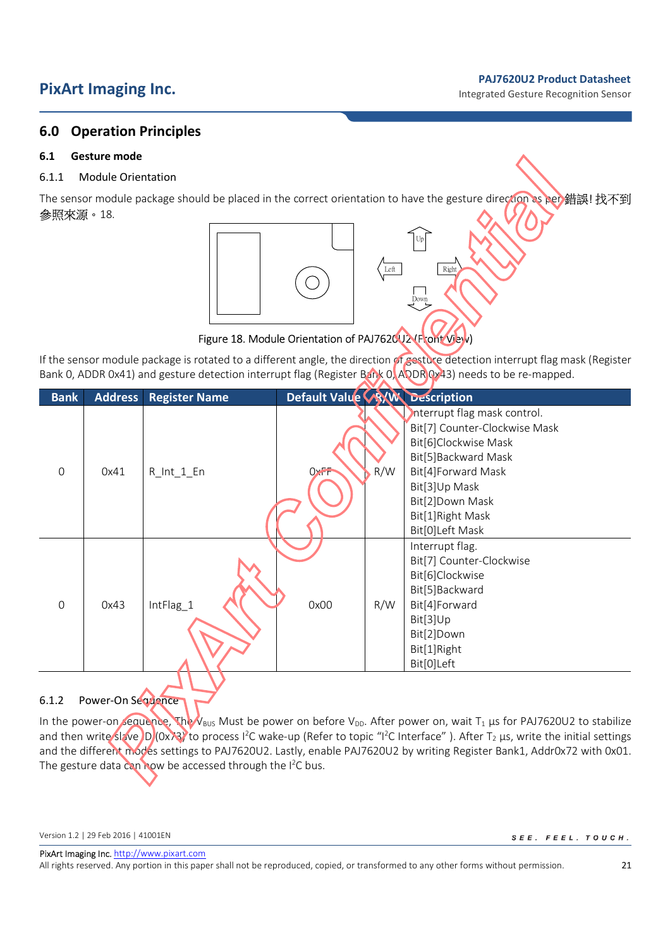# **PixArt Imaging Inc. PixArt Imaging Inc. PRITE Imaging Inc. PRITE Integrated Gesture Recognition Sensor**

## **6.0 Operation Principles**

## **6.1 Gesture mode**

## 6.1.1 Module Orientation

The sensor module package should be placed in the correct orientation to have the gesture direction as per 錯誤! 找不到 參照來源。18.

Up

Left Right

Down



## Figure 18. Module Orientation of PAJ7620U2 (Front View)

If the sensor module package is rotated to a different angle, the direction of gesture detection interrupt flag mask (Register Bank 0, ADDR 0x41) and gesture detection interrupt flag (Register Bank 0, ADDR 0x43) needs to be re-mapped.

| <b>Bank</b>    | <b>Address</b> | <b>Register Name</b> | Default Value WW Description |                                                               |
|----------------|----------------|----------------------|------------------------------|---------------------------------------------------------------|
|                |                |                      |                              | Interrupt flag mask control.<br>Bit[7] Counter-Clockwise Mask |
|                |                |                      |                              |                                                               |
|                |                |                      |                              | Bit[6]Clockwise Mask                                          |
|                |                |                      |                              | Bit[5]Backward Mask                                           |
| $\mathbf 0$    | 0x41           | $R_lnt_1_F$          | R/W<br>$0$ <sub>xFF</sub>    | Bit[4]Forward Mask                                            |
|                |                |                      |                              | Bit[3]Up Mask                                                 |
|                |                |                      |                              | Bit[2]Down Mask                                               |
|                |                |                      |                              | Bit[1]Right Mask                                              |
|                |                |                      |                              | Bit[0]Left Mask                                               |
|                |                |                      |                              | Interrupt flag.                                               |
|                |                |                      |                              | Bit[7] Counter-Clockwise                                      |
|                |                |                      |                              | Bit[6]Clockwise                                               |
|                |                |                      |                              | Bit[5]Backward                                                |
| $\overline{0}$ | 0x43           | IntFlag_1            | 0x00<br>R/W                  | Bit[4]Forward                                                 |
|                |                |                      |                              | Bit[3]Up                                                      |
|                |                |                      |                              | Bit[2]Down                                                    |
|                |                |                      |                              | Bit[1]Right                                                   |
|                |                |                      |                              | Bit[0]Left                                                    |
|                |                |                      |                              |                                                               |

## 6.1.2 Power-On Sequence

In the power-on sequence, The V<sub>BUS</sub> Must be power on before V<sub>DD</sub>. After power on, wait T<sub>1</sub> µs for PAJ7620U2 to stabilize and then write slave ID (0x73) to process I<sup>2</sup>C wake-up (Refer to topic "I<sup>2</sup>C Interface"). After T<sub>2</sub> µs, write the initial settings and the different modes settings to PAJ7620U2. Lastly, enable PAJ7620U2 by writing Register Bank1, Addr0x72 with 0x01. The gesture data can now be accessed through the I<sup>2</sup>C bus.

SEE. FEEL. TOUCH.

PixArt Imaging Inc. http://www.pixart.com

Version 1.2 | 29 Feb 2016 | 41001EN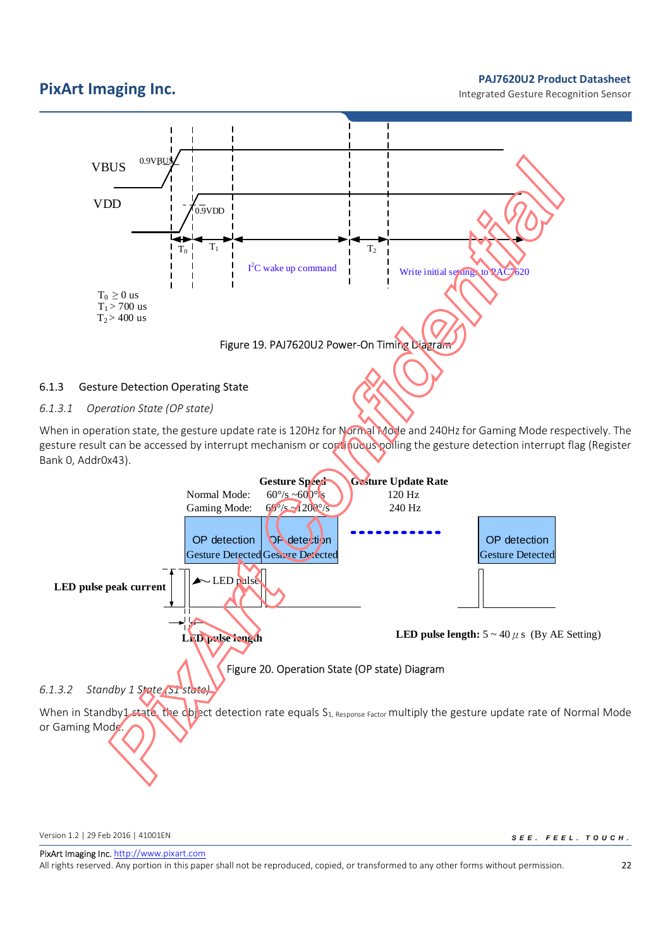Integrated Gesture Recognition Sensor



When in operation state, the gesture update rate is 120Hz for Normal Mode and 240Hz for Gaming Mode respectively. The gesture result can be accessed by interrupt mechanism or continuous polling the gesture detection interrupt flag (Register Bank 0, Addr0x43).



Version 1.2 | 29 Feb 2016 | 41001EN

SEE. FEEL. TOUCH.

PixArt Imaging Inc. http://www.pixart.com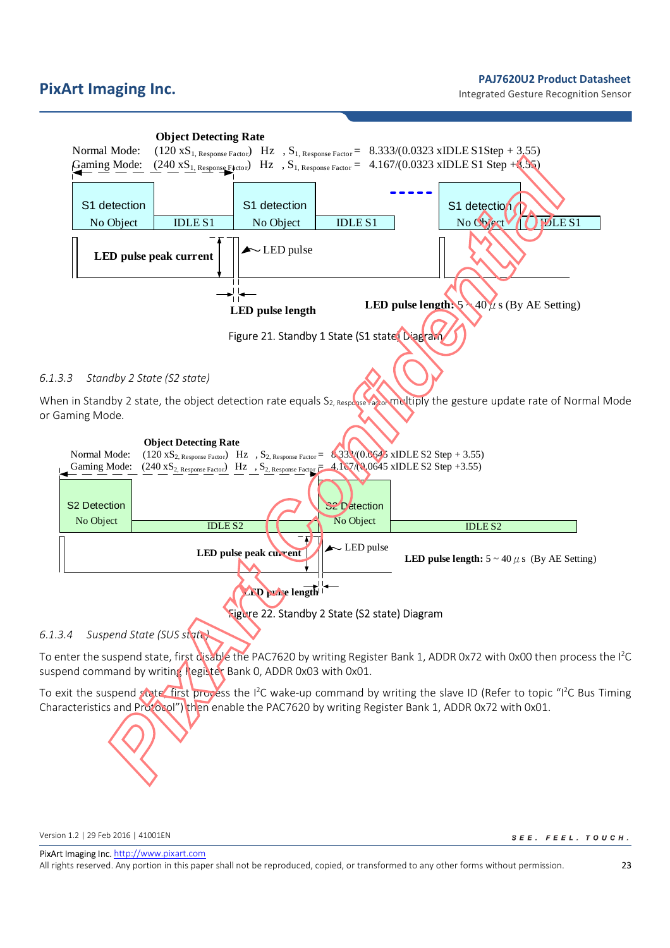# **PixArt Imaging Inc. Product Datasheet PixArt Imaging Inc. Product Datasheet Product Datasheet Product Datasheet Product Datasheet Product Datasheet Product Datasheet Product Datasheet Product Datasheet**



## *6.1.3.4 Suspend State (SUS state)*

To enter the suspend state, first disable the PAC7620 by writing Register Bank 1, ADDR 0x72 with 0x00 then process the I<sup>2</sup>C suspend command by writing Register Bank 0, ADDR 0x03 with 0x01.

To exit the suspend state, first process the  $1^2C$  wake-up command by writing the slave ID (Refer to topic " $1^2C$  Bus Timing Characteristics and Protocol") then enable the PAC7620 by writing Register Bank 1, ADDR 0x72 with 0x01.

Version 1.2 | 29 Feb 2016 | 41001EN

SEE. FEEL. TOUCH.

PixArt Imaging Inc. http://www.pixart.com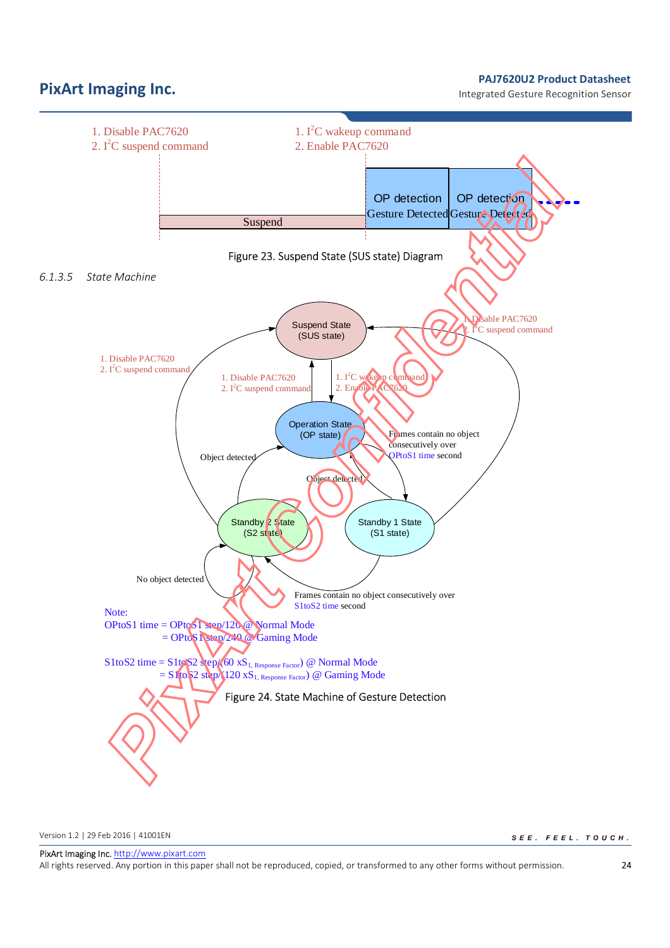Integrated Gesture Recognition Sensor



Version 1.2 | 29 Feb 2016 | 41001EN

SEE. FEEL. TOUCH.

PixArt Imaging Inc. http://www.pixart.com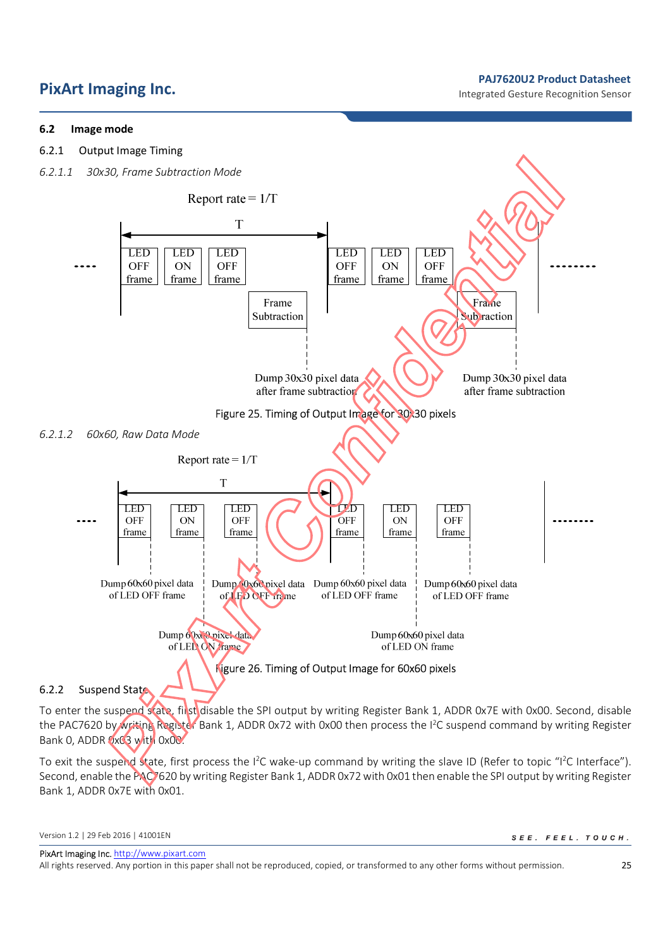# **PixArt Imaging Inc. Product Datasheet PRITE IMAGES PRITE INC. PRITE INC. PRITE INC. PRITE INC. PRITE INC. PRITE INC. PRITE INC. PRITE INC. PRITE INC. PRITE INC. PRITE INC. PRITE INC. PRITE IN**

## **6.2 Image mode**

6.2.1 Output Image Timing





To enter the suspend state, first disable the SPI output by writing Register Bank 1, ADDR 0x7E with 0x00. Second, disable the PAC7620 by writing Register Bank 1, ADDR 0x72 with 0x00 then process the I<sup>2</sup>C suspend command by writing Register Bank 0, ADDR 0x03 with 0x00.

To exit the suspend state, first process the I<sup>2</sup>C wake-up command by writing the slave ID (Refer to topic "I<sup>2</sup>C Interface"). Second, enable the PAC7620 by writing Register Bank 1, ADDR 0x72 with 0x01 then enable the SPI output by writing Register Bank 1, ADDR 0x7E with 0x01.

SEE. FEEL. TOUCH.

PixArt Imaging Inc. http://www.pixart.com

Version 1.2 | 29 Feb 2016 | 41001EN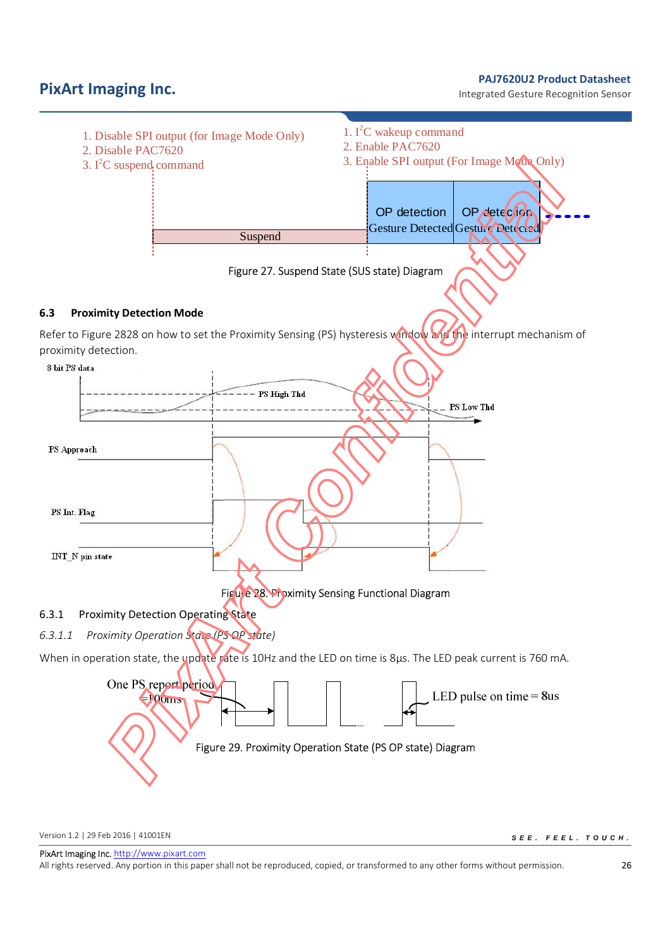**PixArt Imaging Inc. PixArt Imaging Inc. PRITE Imaging Inc. PRITE Integrated Gesture Recognition Sensor** 

Integrated Gesture Recognition Sensor



Version 1.2 | 29 Feb 2016 | 41001EN

SEE. FEEL. TOUCH.

PixArt Imaging Inc. http://www.pixart.com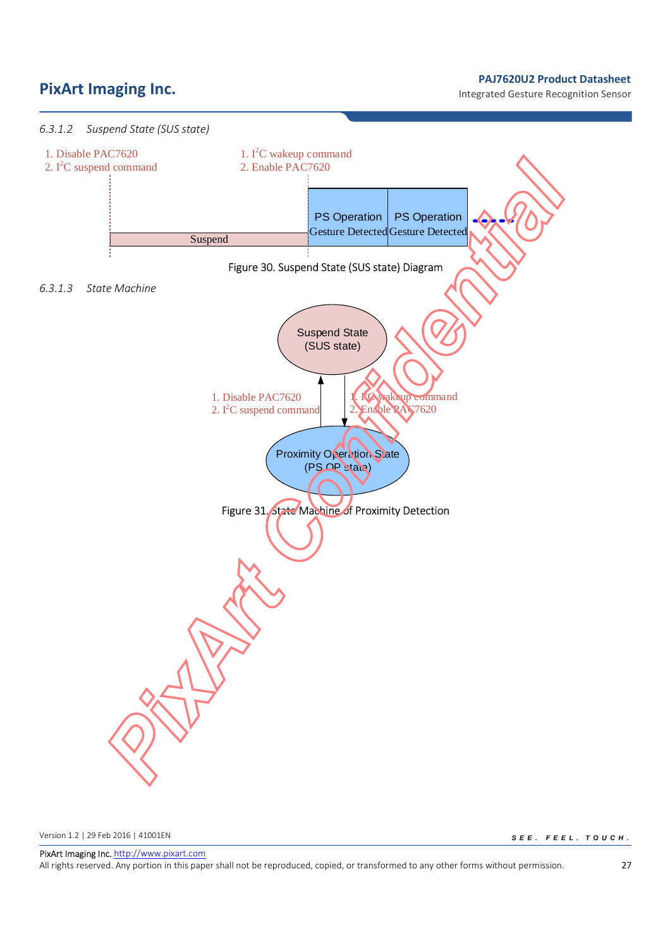# **PixArt Imaging Inc. PixArt Imaging Inc. PixArt Imaging Inc. PRITE INCESS**

Integrated Gesture Recognition Sensor



Version 1.2 | 29 Feb 2016 | 41001EN

SEE. FEEL. TOUCH.

PixArt Imaging Inc. http://www.pixart.com